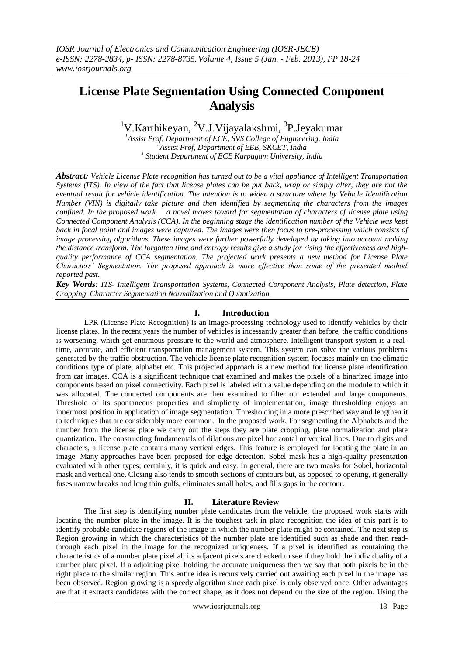# **License Plate Segmentation Using Connected Component Analysis**

<sup>1</sup>V.Karthikeyan, <sup>2</sup>V.J.Vijayalakshmi, <sup>3</sup>P.Jeyakumar

*<sup>1</sup>Assist Prof, Department of ECE, SVS College of Engineering, India <sup>2</sup>Assist Prof, Department of EEE, SKCET, India 3 Student Department of ECE Karpagam University, India*

*Abstract: Vehicle License Plate recognition has turned out to be a vital appliance of Intelligent Transportation Systems (ITS). In view of the fact that license plates can be put back, wrap or simply alter, they are not the eventual result for vehicle identification. The intention is to widen a structure where by Vehicle Identification Number (VIN) is digitally take picture and then identified by segmenting the characters from the images confined. In the proposed work a novel moves toward for segmentation of characters of license plate using Connected Component Analysis (CCA). In the beginning stage the identification number of the Vehicle was kept back in focal point and images were captured. The images were then focus to pre-processing which consists of image processing algorithms. These images were further powerfully developed by taking into account making the distance transform. The forgotten time and entropy results give a study for rising the effectiveness and highquality performance of CCA segmentation. The projected work presents a new method for License Plate Characters' Segmentation. The proposed approach is more effective than some of the presented method reported past.* 

*Key Words: ITS- Intelligent Transportation Systems, Connected Component Analysis, Plate detection, Plate Cropping, Character Segmentation Normalization and Quantization.*

### **I. Introduction**

LPR (License Plate Recognition) is an image-processing technology used to identify vehicles by their license plates. In the recent years the number of vehicles is incessantly greater than before, the traffic conditions is worsening, which get enormous pressure to the world and atmosphere. Intelligent transport system is a realtime, accurate, and efficient transportation management system. This system can solve the various problems generated by the traffic obstruction. The vehicle license plate recognition system focuses mainly on the climatic conditions type of plate, alphabet etc. This projected approach is a new method for license plate identification from car images. CCA is a significant technique that examined and makes the pixels of a binarized image into components based on pixel connectivity. Each pixel is labeled with a value depending on the module to which it was allocated. The connected components are then examined to filter out extended and large components. Threshold of its spontaneous properties and simplicity of implementation, image thresholding enjoys an innermost position in application of image segmentation. Thresholding in a more prescribed way and lengthen it to techniques that are considerably more common. In the proposed work, For segmenting the Alphabets and the number from the license plate we carry out the steps they are plate cropping, plate normalization and plate quantization. The constructing fundamentals of dilations are pixel horizontal or vertical lines. Due to digits and characters, a license plate contains many vertical edges. This feature is employed for locating the plate in an image. Many approaches have been proposed for edge detection. Sobel mask has a high-quality presentation evaluated with other types; certainly, it is quick and easy. In general, there are two masks for Sobel, horizontal mask and vertical one. Closing also tends to smooth sections of contours but, as opposed to opening, it generally fuses narrow breaks and long thin gulfs, eliminates small holes, and fills gaps in the contour.

## **II. Literature Review**

The first step is identifying number plate candidates from the vehicle; the proposed work starts with locating the number plate in the image. It is the toughest task in plate recognition the idea of this part is to identify probable candidate regions of the image in which the number plate might be contained. The next step is Region growing in which the characteristics of the number plate are identified such as shade and then readthrough each pixel in the image for the recognized uniqueness. If a pixel is identified as containing the characteristics of a number plate pixel all its adjacent pixels are checked to see if they hold the individuality of a number plate pixel. If a adjoining pixel holding the accurate uniqueness then we say that both pixels be in the right place to the similar region. This entire idea is recursively carried out awaiting each pixel in the image has been observed. Region growing is a speedy algorithm since each pixel is only observed once. Other advantages are that it extracts candidates with the correct shape, as it does not depend on the size of the region. Using the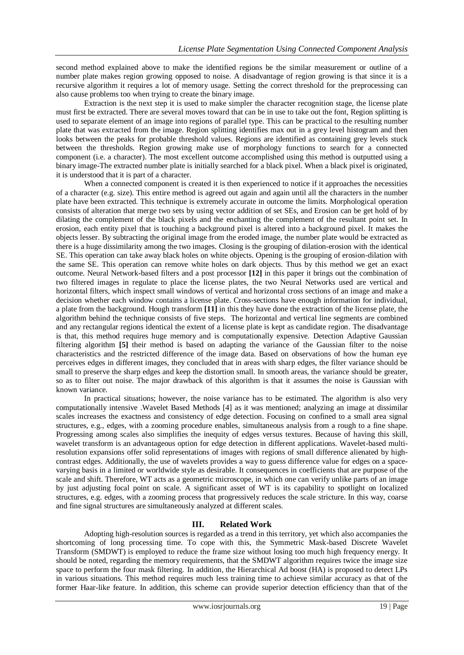second method explained above to make the identified regions be the similar measurement or outline of a number plate makes region growing opposed to noise. A disadvantage of region growing is that since it is a recursive algorithm it requires a lot of memory usage. Setting the correct threshold for the preprocessing can also cause problems too when trying to create the binary image.

Extraction is the next step it is used to make simpler the character recognition stage, the license plate must first be extracted. There are several moves toward that can be in use to take out the font, Region splitting is used to separate element of an image into regions of parallel type. This can be practical to the resulting number plate that was extracted from the image. Region splitting identifies max out in a grey level histogram and then looks between the peaks for probable threshold values. Regions are identified as containing grey levels stuck between the thresholds. Region growing make use of morphology functions to search for a connected component (i.e. a character). The most excellent outcome accomplished using this method is outputted using a binary image-The extracted number plate is initially searched for a black pixel. When a black pixel is originated, it is understood that it is part of a character.

When a connected component is created it is then experienced to notice if it approaches the necessities of a character (e.g. size). This entire method is agreed out again and again until all the characters in the number plate have been extracted. This technique is extremely accurate in outcome the limits. Morphological operation consists of alteration that merge two sets by using vector addition of set SEs, and Erosion can be get hold of by dilating the complement of the black pixels and the enchanting the complement of the resultant point set. In erosion, each entity pixel that is touching a background pixel is altered into a background pixel. It makes the objects lesser. By subtracting the original image from the eroded image, the number plate would be extracted as there is a huge dissimilarity among the two images. Closing is the grouping of dilation-erosion with the identical SE. This operation can take away black holes on white objects. Opening is the grouping of erosion-dilation with the same SE. This operation can remove white holes on dark objects. Thus by this method we get an exact outcome. Neural Network-based filters and a post processor **[12]** in this paper it brings out the combination of two filtered images in regulate to place the license plates, the two Neural Networks used are vertical and horizontal filters, which inspect small windows of vertical and horizontal cross sections of an image and make a decision whether each window contains a license plate. Cross-sections have enough information for individual, a plate from the background. Hough transform **[11]** in this they have done the extraction of the license plate, the algorithm behind the technique consists of five steps. The horizontal and vertical line segments are combined and any rectangular regions identical the extent of a license plate is kept as candidate region. The disadvantage is that, this method requires huge memory and is computationally expensive. Detection Adaptive Gaussian filtering algorithm **[5]** their method is based on adapting the variance of the Gaussian filter to the noise characteristics and the restricted difference of the image data. Based on observations of how the human eye perceives edges in different images, they concluded that in areas with sharp edges, the filter variance should be small to preserve the sharp edges and keep the distortion small. In smooth areas, the variance should be greater, so as to filter out noise. The major drawback of this algorithm is that it assumes the noise is Gaussian with known variance.

In practical situations; however, the noise variance has to be estimated. The algorithm is also very computationally intensive .Wavelet Based Methods [4] as it was mentioned; analyzing an image at dissimilar scales increases the exactness and consistency of edge detection. Focusing on confined to a small area signal structures, e.g., edges, with a zooming procedure enables, simultaneous analysis from a rough to a fine shape. Progressing among scales also simplifies the inequity of edges versus textures. Because of having this skill, wavelet transform is an advantageous option for edge detection in different applications. Wavelet-based multiresolution expansions offer solid representations of images with regions of small difference alienated by highcontrast edges. Additionally, the use of wavelets provides a way to guess difference value for edges on a spacevarying basis in a limited or worldwide style as desirable. It consequences in coefficients that are purpose of the scale and shift. Therefore, WT acts as a geometric microscope, in which one can verify unlike parts of an image by just adjusting focal point on scale. A significant asset of WT is its capability to spotlight on localized structures, e.g. edges, with a zooming process that progressively reduces the scale stricture. In this way, coarse and fine signal structures are simultaneously analyzed at different scales.

## **III. Related Work**

Adopting high-resolution sources is regarded as a trend in this territory, yet which also accompanies the shortcoming of long processing time. To cope with this, the Symmetric Mask-based Discrete Wavelet Transform (SMDWT) is employed to reduce the frame size without losing too much high frequency energy. It should be noted, regarding the memory requirements, that the SMDWT algorithm requires twice the image size space to perform the four mask filtering. In addition, the Hierarchical Ad boost (HA) is proposed to detect LPs in various situations. This method requires much less training time to achieve similar accuracy as that of the former Haar-like feature. In addition, this scheme can provide superior detection efficiency than that of the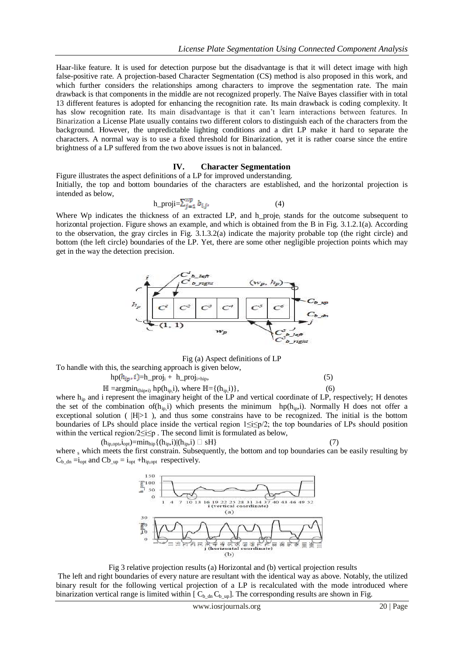Haar-like feature. It is used for detection purpose but the disadvantage is that it will detect image with high false-positive rate. A projection-based Character Segmentation (CS) method is also proposed in this work, and which further considers the relationships among characters to improve the segmentation rate. The main drawback is that components in the middle are not recognized properly. The Naïve Bayes classifier with in total 13 different features is adopted for enhancing the recognition rate. Its main drawback is coding complexity. It has slow recognition rate. Its main disadvantage is that it can"t learn interactions between features. In Binarization a License Plate usually contains two different colors to distinguish each of the characters from the background. However, the unpredictable lighting conditions and a dirt LP make it hard to separate the characters. A normal way is to use a fixed threshold for Binarization, yet it is rather coarse since the entire brightness of a LP suffered from the two above issues is not in balanced.

#### **IV. Character Segmentation**

Figure illustrates the aspect definitions of a LP for improved understanding. Initially, the top and bottom boundaries of the characters are established, and the horizontal projection is intended as below,

$$
h\_proji = \sum_{j=1}^{wp} b_{i,j}, \tag{4}
$$

Where Wp indicates the thickness of an extracted LP, and h\_proje<sub>i</sub> stands for the outcome subsequent to horizontal projection. Figure shows an example, and which is obtained from the B in Fig. 3.1.2.1(a). According to the observation, the gray circles in Fig. 3.1.3.2(a) indicate the majority probable top (the right circle) and bottom (the left circle) boundaries of the LP. Yet, there are some other negligible projection points which may get in the way the detection precision.



#### Fig (a) Aspect definitions of LP

To handle with this, the searching approach is given below,

 $hp(h_{ip}, i) = h_{proj} + h_{proj_{i+hip}},$  (5)  $\mathbb{H} = \text{argmin}_{(hip,i)} \text{hp}(h_{ip,i}), \text{ where } \mathbb{H} = \{(h_{ip,i})\},$  (6)

where  $h_{ip}$  and i represent the imaginary height of the LP and vertical coordinate of LP, respectively; H denotes the set of the combination of( $h_{ip}$ ) which presents the minimum hp( $h_{ip}$ ). Normally H does not offer a exceptional solution ( $|H|>1$ ), and thus some constrains have to be recognized. The initial is the bottom boundaries of LPs should place inside the vertical region 1≤i≤p/2; the top boundaries of LPs should position within the vertical region/2≤i≤p . The second limit is formulated as below,

$$
(\mathbf{h}_{\mathsf{ip},\mathsf{opt}},\mathbf{i}_{\mathsf{opt}})=\!\!\min_{\mathsf{hip}}\{(\mathbf{h}_{\mathsf{ip}},\mathbf{i})|(\mathbf{h}_{\mathsf{ip}},\mathbf{i})\,\square\,\,\mathsf{sH}\}\tag{7}
$$

where s which meets the first constrain. Subsequently, the bottom and top boundaries can be easily resulting by  $C_{b\_dn} = i_{opt}$  and  $Cb_{mp} = i_{opt} + h_{ip,opt}$  respectively.



Fig 3 relative projection results (a) Horizontal and (b) vertical projection results

The left and right boundaries of every nature are resultant with the identical way as above. Notably, the utilized binary result for the following vertical projection of a LP is recalculated with the mode introduced where binarization vertical range is limited within  $[C_{b\_dn} C_{b\_up}]$ . The corresponding results are shown in Fig.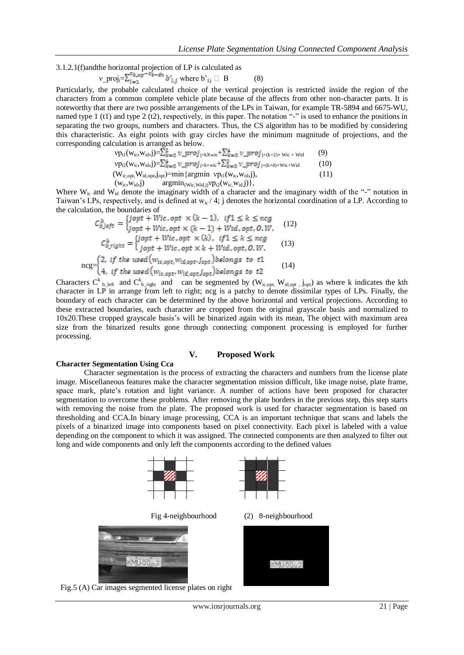3.1.2.1(f)andthe horizontal projection of LP is calculated as

$$
\mathsf{v\_proj}_{i} = \sum_{i=1}^{c} \mathsf{b\_up}^{-c} \mathsf{b}^{-d} \mathsf{b'}_{i,j} \text{ where } \mathsf{b'}_{i,j} \square \mathsf{B} \tag{8}
$$

Particularly, the probable calculated choice of the vertical projection is restricted inside the region of the characters from a common complete vehicle plate because of the affects from other non-character parts. It is noteworthy that there are two possible arrangements of the LPs in Taiwan, for example TR-5894 and 6675-WU, named type 1 (t1) and type 2 (t2), respectively, in this paper. The notation "-" is used to enhance the positions in separating the two groups, numbers and characters. Thus, the CS algorithm has to be modified by considering this characteristic. As eight points with gray circles have the minimum magnitude of projections, and the corresponding calculation is arranged as below.

$$
vp_{t1}(w_{ic},w_{id},j)=\sum_{k=0}^{\infty} \nu\_proj_{j+kxwic} + \sum_{k=0}^{4} \nu\_proj_{j+(k+2)\times Wic + Wid}
$$
(9)  
\n
$$
vp_{t2}(w_{ic},w_{id},j)=\sum_{k=0}^{4} \nu\_proj_{j+kxwic} + \sum_{k=0}^{2} \nu\_proj_{j+(k+4)\times Wic + Wid}
$$
(10)  
\n
$$
(W_{ic,opt},W_{id,opt},j_{opt}) = min \{argmin v p_{t1}(w_{ic},w_{id},j),
$$
(11)  
\n
$$
(w_{ic},w_{id,j}) = argmin w_{t2}(w_{ic},w_{id},j),
$$

Where W<sub>ic</sub> and W<sub>id</sub> denote the imaginary width of a character and the imaginary width of the "-" notation in Taiwan's LPs, respectively, and is defined at  $w_i / 4$ ; j denotes the horizontal coordination of a LP. According to the calculation, the boundaries of

$$
C_{b\perp left}^{k} = \begin{cases} \text{jopt} + \text{Wic}, \text{opt} \times (k-1), & \text{if } 1 \le k \le neg \\ \text{jopt} + \text{Wic}, \text{opt} \times (k-1) + \text{Wid}, \text{opt}, 0. W. \end{cases} \quad (12)
$$
\n
$$
C_{b\perp right}^{k} = \begin{cases} \text{jopt} + \text{Wic}, \text{opt} \times (k), & \text{if } 1 \le k \le neg \\ \text{jopt} + \text{Wic}, \text{opt} \times k + \text{Wid}, \text{opt}, 0. W. \end{cases} \quad (13)
$$
\n
$$
neg = \begin{cases} 2, & \text{if the used} \left( w_{ic, opt}, w_{id, opt}, j_{opt} \right) belongs to t1 \\ 4, & \text{if the used} \left( w_{ic, opt}, w_{id, opt}, j_{opt} \right) belongs to t2 \end{cases} \quad (14)
$$

Characters C<sup>k</sup> <sub>b\_left</sub> and C<sup>k</sup><sub>b\_right</sub> and can be segmented by (W<sub>ic,opt</sub>, W<sub>id,opt</sub>, j<sub>opt</sub>) as where k indicates the kth character in LP in arrange from left to right; ncg is a patchy to denote dissimilar types of LPs. Finally, the boundary of each character can be determined by the above horizontal and vertical projections. According to these extracted boundaries, each character are cropped from the original grayscale basis and normalized to 10x20.These cropped grayscale basis"s will be binarized again with its mean, The object with maximum area size from the binarized results gone through connecting component processing is employed for further processing.

#### **V. Proposed Work**

#### **Character Segmentation Using Cca**

Character segmentation is the process of extracting the characters and numbers from the license plate image. Miscellaneous features make the character segmentation mission difficult, like image noise, plate frame, space mark, plate's rotation and light variance. A number of actions have been proposed for character segmentation to overcome these problems. After removing the plate borders in the previous step, this step starts with removing the noise from the plate. The proposed work is used for character segmentation is based on thresholding and CCA.In binary image processing, CCA is an important technique that scans and labels the pixels of a binarized image into components based on pixel connectivity. Each pixel is labeled with a value depending on the component to which it was assigned. The connected components are then analyzed to filter out long and wide components and only left the components according to the defined values



Fig.5 (A) Car images segmented license plates on right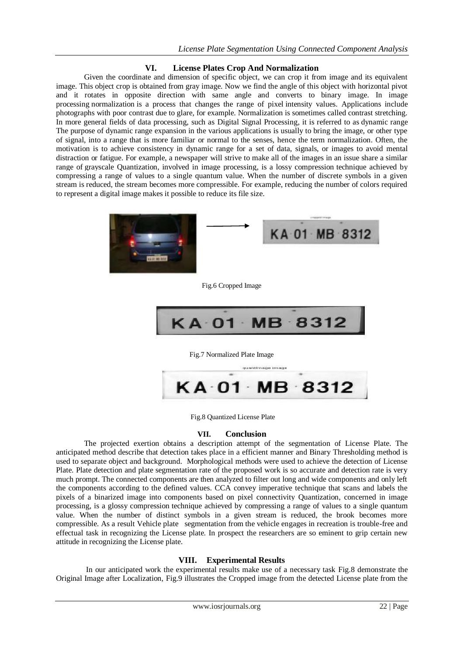## **VI. License Plates Crop And Normalization**

Given the coordinate and dimension of specific object, we can crop it from image and its equivalent image. This object crop is obtained from gray image. Now we find the angle of this object with horizontal pivot and it rotates in opposite direction with same angle and converts to binary image. In image processing normalization is a process that changes the range of pixel intensity values. Applications include photographs with poor contrast due to glare, for example. Normalization is sometimes called contrast stretching. In more general fields of data processing, such as Digital Signal Processing, it is referred to as dynamic range The purpose of dynamic range expansion in the various applications is usually to bring the image, or other type of signal, into a range that is more familiar or normal to the senses, hence the term normalization. Often, the motivation is to achieve consistency in dynamic range for a set of data, signals, or images to avoid mental distraction or fatigue. For example, a newspaper will strive to make all of the images in an issue share a similar range of grayscale Quantization, involved in image processing, is a lossy compression technique achieved by compressing a range of values to a single quantum value. When the number of discrete symbols in a given stream is reduced, the stream becomes more compressible. For example, reducing the number of colors required to represent a digital image makes it possible to reduce its file size.



Fig.6 Cropped Image



Fig.7 Normalized Plate Image



Fig.8 Quantized License Plate

## **VII. Conclusion**

The projected exertion obtains a description attempt of the segmentation of License Plate. The anticipated method describe that detection takes place in a efficient manner and Binary Thresholding method is used to separate object and background. Morphological methods were used to achieve the detection of License Plate. Plate detection and plate segmentation rate of the proposed work is so accurate and detection rate is very much prompt. The connected components are then analyzed to filter out long and wide components and only left the components according to the defined values. CCA convey imperative technique that scans and labels the pixels of a binarized image into components based on pixel connectivity Quantization, concerned in image processing, is a glossy compression technique achieved by compressing a range of values to a single quantum value. When the number of distinct symbols in a given stream is reduced, the brook becomes more compressible. As a result Vehicle plate segmentation from the vehicle engages in recreation is trouble-free and effectual task in recognizing the License plate. In prospect the researchers are so eminent to grip certain new attitude in recognizing the License plate.

## **VIII. Experimental Results**

 In our anticipated work the experimental results make use of a necessary task Fig.8 demonstrate the Original Image after Localization, Fig.9 illustrates the Cropped image from the detected License plate from the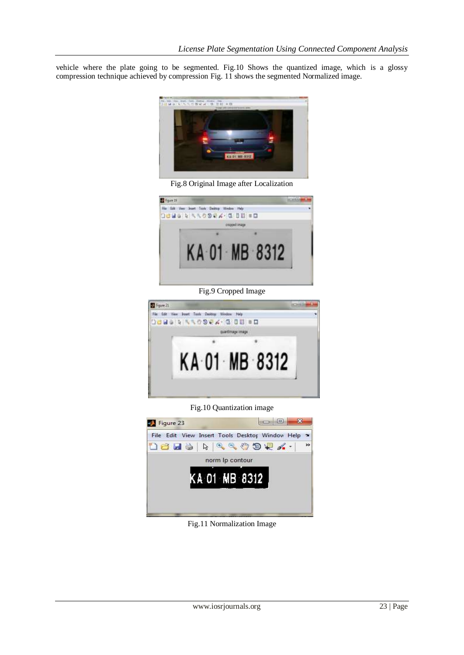vehicle where the plate going to be segmented. Fig.10 Shows the quantized image, which is a glossy compression technique achieved by compression Fig. 11 shows the segmented Normalized image.



Fig.8 Original Image after Localization



Fig.9 Cropped Image



Fig.10 Quantization image



Fig.11 Normalization Image